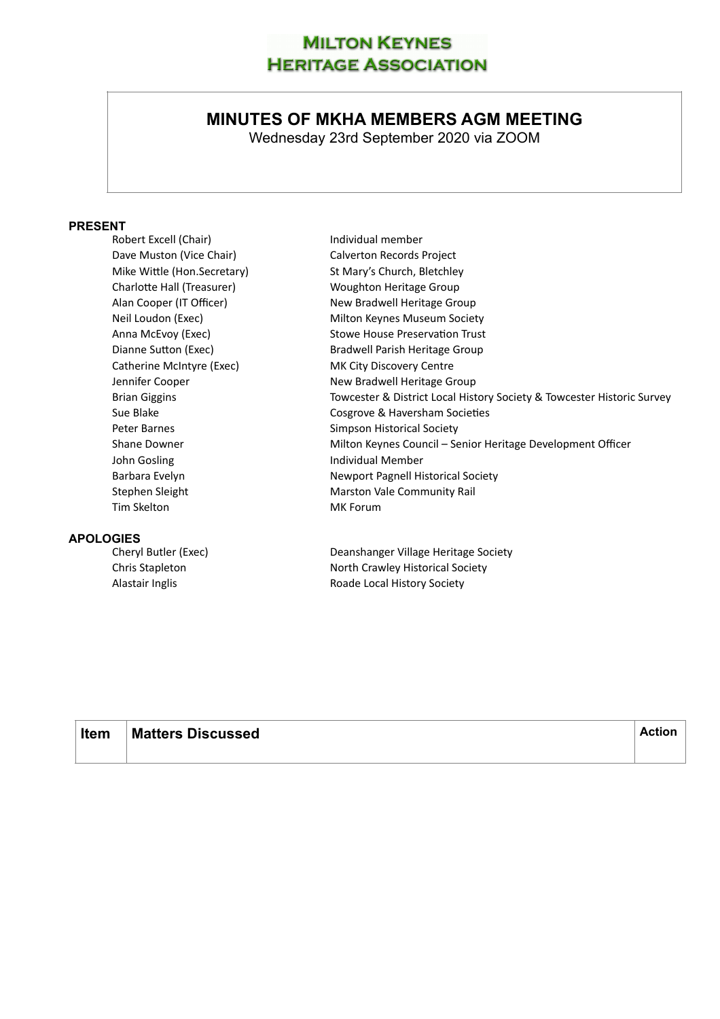## **MILTON KEYNES HERITAGE ASSOCIATION**

# **MINUTES OF MKHA MEMBERS AGM MEETING**

Wednesday 23rd September 2020 via ZOOM

## **PRESENT**

| Robert Excell (Chair)       | Individual member                                                      |
|-----------------------------|------------------------------------------------------------------------|
| Dave Muston (Vice Chair)    | Calverton Records Project                                              |
| Mike Wittle (Hon.Secretary) | St Mary's Church, Bletchley                                            |
| Charlotte Hall (Treasurer)  | Woughton Heritage Group                                                |
| Alan Cooper (IT Officer)    | New Bradwell Heritage Group                                            |
| Neil Loudon (Exec)          | Milton Keynes Museum Society                                           |
| Anna McEvoy (Exec)          | <b>Stowe House Preservation Trust</b>                                  |
| Dianne Sutton (Exec)        | Bradwell Parish Heritage Group                                         |
| Catherine McIntyre (Exec)   | MK City Discovery Centre                                               |
| Jennifer Cooper             | New Bradwell Heritage Group                                            |
| <b>Brian Giggins</b>        | Towcester & District Local History Society & Towcester Historic Survey |
| Sue Blake                   | Cosgrove & Haversham Societies                                         |
| Peter Barnes                | Simpson Historical Society                                             |
| Shane Downer                | Milton Keynes Council – Senior Heritage Development Officer            |
| John Gosling                | Individual Member                                                      |
| Barbara Evelyn              | Newport Pagnell Historical Society                                     |
| Stephen Sleight             | Marston Vale Community Rail                                            |
| Tim Skelton                 | MK Forum                                                               |
|                             |                                                                        |
| $\sim$                      |                                                                        |

**APOLOGIES** 

Deanshanger Village Heritage Society Chris Stapleton North Crawley Historical Society Alastair Inglis **Alastair Inglishing Community** Roade Local History Society

| Item | <b>Matters Discussed</b> | Action |
|------|--------------------------|--------|
|      |                          |        |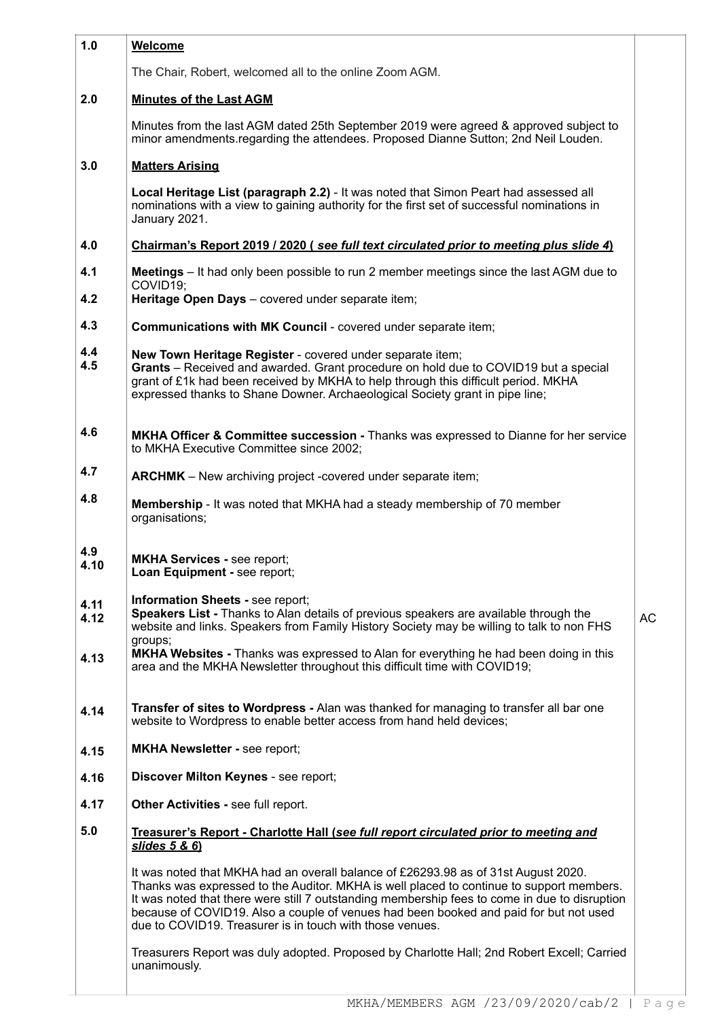| 1.0          | <b>Welcome</b>                                                                                                                                                                                                                                                                                                                                                                                                                       |    |
|--------------|--------------------------------------------------------------------------------------------------------------------------------------------------------------------------------------------------------------------------------------------------------------------------------------------------------------------------------------------------------------------------------------------------------------------------------------|----|
|              | The Chair, Robert, welcomed all to the online Zoom AGM.                                                                                                                                                                                                                                                                                                                                                                              |    |
| 2.0          | <b>Minutes of the Last AGM</b>                                                                                                                                                                                                                                                                                                                                                                                                       |    |
|              | Minutes from the last AGM dated 25th September 2019 were agreed & approved subject to<br>minor amendments.regarding the attendees. Proposed Dianne Sutton; 2nd Neil Louden.                                                                                                                                                                                                                                                          |    |
| 3.0          | <b>Matters Arising</b>                                                                                                                                                                                                                                                                                                                                                                                                               |    |
|              | Local Heritage List (paragraph 2.2) - It was noted that Simon Peart had assessed all<br>nominations with a view to gaining authority for the first set of successful nominations in<br>January 2021.                                                                                                                                                                                                                                 |    |
| 4.0          | <u>Chairman's Report 2019 / 2020 (see full text circulated prior to meeting plus slide 4)</u>                                                                                                                                                                                                                                                                                                                                        |    |
| 4.1<br>4.2   | Meetings - It had only been possible to run 2 member meetings since the last AGM due to<br>COVID19;                                                                                                                                                                                                                                                                                                                                  |    |
|              | Heritage Open Days - covered under separate item;                                                                                                                                                                                                                                                                                                                                                                                    |    |
| 4.3          | Communications with MK Council - covered under separate item;                                                                                                                                                                                                                                                                                                                                                                        |    |
| 4.4<br>4.5   | New Town Heritage Register - covered under separate item;<br>Grants - Received and awarded. Grant procedure on hold due to COVID19 but a special<br>grant of £1k had been received by MKHA to help through this difficult period. MKHA<br>expressed thanks to Shane Downer. Archaeological Society grant in pipe line;                                                                                                               |    |
| 4.6          | <b>MKHA Officer &amp; Committee succession - Thanks was expressed to Dianne for her service</b><br>to MKHA Executive Committee since 2002;                                                                                                                                                                                                                                                                                           |    |
| 4.7          | <b>ARCHMK</b> – New archiving project -covered under separate item;                                                                                                                                                                                                                                                                                                                                                                  |    |
| 4.8          | <b>Membership</b> - It was noted that MKHA had a steady membership of 70 member<br>organisations;                                                                                                                                                                                                                                                                                                                                    |    |
| 4.9<br>4.10  | <b>MKHA Services - see report;</b><br>Loan Equipment - see report;                                                                                                                                                                                                                                                                                                                                                                   |    |
| 4.11<br>4.12 | Information Sheets - see report;<br>Speakers List - Thanks to Alan details of previous speakers are available through the<br>website and links. Speakers from Family History Society may be willing to talk to non FHS<br>groups;                                                                                                                                                                                                    | AC |
| 4.13         | MKHA Websites - Thanks was expressed to Alan for everything he had been doing in this<br>area and the MKHA Newsletter throughout this difficult time with COVID19;                                                                                                                                                                                                                                                                   |    |
| 4.14         | Transfer of sites to Wordpress - Alan was thanked for managing to transfer all bar one<br>website to Wordpress to enable better access from hand held devices;                                                                                                                                                                                                                                                                       |    |
| 4.15         | <b>MKHA Newsletter - see report;</b>                                                                                                                                                                                                                                                                                                                                                                                                 |    |
| 4.16         | Discover Milton Keynes - see report;                                                                                                                                                                                                                                                                                                                                                                                                 |    |
| 4.17         | Other Activities - see full report.                                                                                                                                                                                                                                                                                                                                                                                                  |    |
| 5.0          | Treasurer's Report - Charlotte Hall (see full report circulated prior to meeting and<br>slides 5 & 6)                                                                                                                                                                                                                                                                                                                                |    |
|              | It was noted that MKHA had an overall balance of £26293.98 as of 31st August 2020.<br>Thanks was expressed to the Auditor. MKHA is well placed to continue to support members.<br>It was noted that there were still 7 outstanding membership fees to come in due to disruption<br>because of COVID19. Also a couple of venues had been booked and paid for but not used<br>due to COVID19. Treasurer is in touch with those venues. |    |
|              | Treasurers Report was duly adopted. Proposed by Charlotte Hall; 2nd Robert Excell; Carried<br>unanimously.                                                                                                                                                                                                                                                                                                                           |    |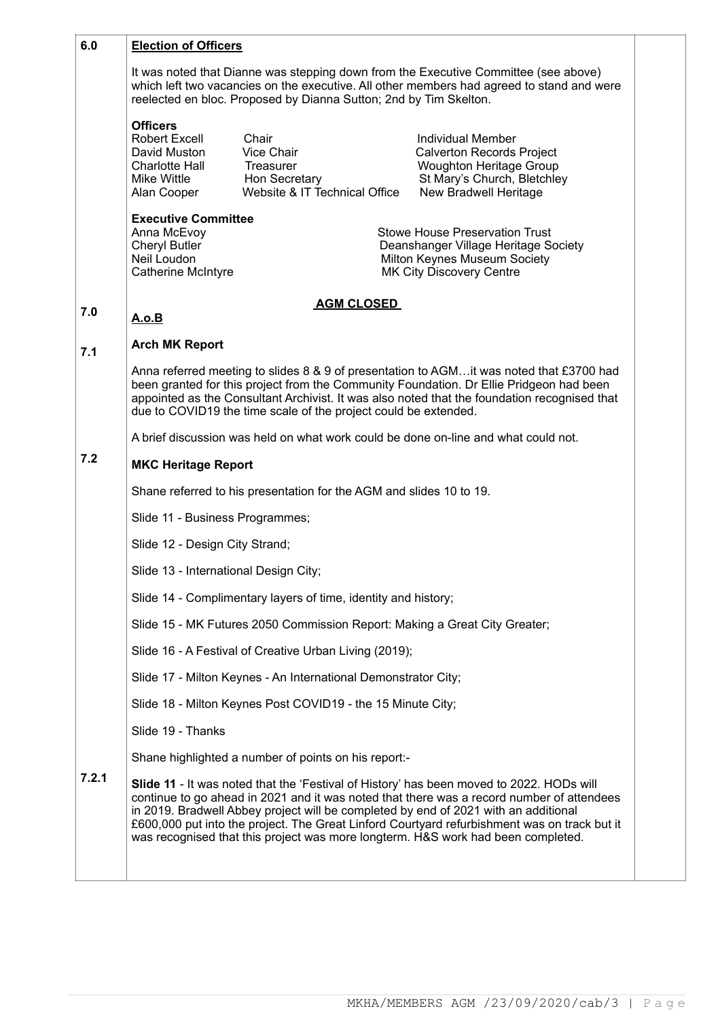| 6.0   | <b>Election of Officers</b>                                                                                                                                                                                                                                                                                                                                                                                                                                      |                                                                                    |                                                                                                                                                        |  |  |  |
|-------|------------------------------------------------------------------------------------------------------------------------------------------------------------------------------------------------------------------------------------------------------------------------------------------------------------------------------------------------------------------------------------------------------------------------------------------------------------------|------------------------------------------------------------------------------------|--------------------------------------------------------------------------------------------------------------------------------------------------------|--|--|--|
|       | It was noted that Dianne was stepping down from the Executive Committee (see above)<br>which left two vacancies on the executive. All other members had agreed to stand and were<br>reelected en bloc. Proposed by Dianna Sutton; 2nd by Tim Skelton.                                                                                                                                                                                                            |                                                                                    |                                                                                                                                                        |  |  |  |
|       | <b>Officers</b><br>Robert Excell<br>David Muston<br><b>Charlotte Hall</b><br>Mike Wittle<br>Alan Cooper                                                                                                                                                                                                                                                                                                                                                          | Chair<br>Vice Chair<br>Treasurer<br>Hon Secretary<br>Website & IT Technical Office | <b>Individual Member</b><br><b>Calverton Records Project</b><br><b>Woughton Heritage Group</b><br>St Mary's Church, Bletchley<br>New Bradwell Heritage |  |  |  |
|       | <b>Executive Committee</b><br>Anna McEvoy<br><b>Cheryl Butler</b><br>Neil Loudon<br><b>Catherine McIntyre</b>                                                                                                                                                                                                                                                                                                                                                    |                                                                                    | <b>Stowe House Preservation Trust</b><br>Deanshanger Village Heritage Society<br>Milton Keynes Museum Society<br><b>MK City Discovery Centre</b>       |  |  |  |
| 7.0   | A.o.B                                                                                                                                                                                                                                                                                                                                                                                                                                                            | <b>AGM CLOSED</b>                                                                  |                                                                                                                                                        |  |  |  |
| 7.1   | <b>Arch MK Report</b>                                                                                                                                                                                                                                                                                                                                                                                                                                            |                                                                                    |                                                                                                                                                        |  |  |  |
|       | Anna referred meeting to slides 8 & 9 of presentation to AGMit was noted that £3700 had<br>been granted for this project from the Community Foundation. Dr Ellie Pridgeon had been<br>appointed as the Consultant Archivist. It was also noted that the foundation recognised that<br>due to COVID19 the time scale of the project could be extended.                                                                                                            |                                                                                    |                                                                                                                                                        |  |  |  |
|       |                                                                                                                                                                                                                                                                                                                                                                                                                                                                  |                                                                                    | A brief discussion was held on what work could be done on-line and what could not.                                                                     |  |  |  |
| 7.2   | <b>MKC Heritage Report</b>                                                                                                                                                                                                                                                                                                                                                                                                                                       |                                                                                    |                                                                                                                                                        |  |  |  |
|       | Shane referred to his presentation for the AGM and slides 10 to 19.                                                                                                                                                                                                                                                                                                                                                                                              |                                                                                    |                                                                                                                                                        |  |  |  |
|       | Slide 11 - Business Programmes;                                                                                                                                                                                                                                                                                                                                                                                                                                  |                                                                                    |                                                                                                                                                        |  |  |  |
|       | Slide 12 - Design City Strand;                                                                                                                                                                                                                                                                                                                                                                                                                                   |                                                                                    |                                                                                                                                                        |  |  |  |
|       | Slide 13 - International Design City;                                                                                                                                                                                                                                                                                                                                                                                                                            |                                                                                    |                                                                                                                                                        |  |  |  |
|       |                                                                                                                                                                                                                                                                                                                                                                                                                                                                  | Slide 14 - Complimentary layers of time, identity and history;                     |                                                                                                                                                        |  |  |  |
|       |                                                                                                                                                                                                                                                                                                                                                                                                                                                                  |                                                                                    | Slide 15 - MK Futures 2050 Commission Report: Making a Great City Greater;                                                                             |  |  |  |
|       |                                                                                                                                                                                                                                                                                                                                                                                                                                                                  | Slide 16 - A Festival of Creative Urban Living (2019);                             |                                                                                                                                                        |  |  |  |
|       |                                                                                                                                                                                                                                                                                                                                                                                                                                                                  | Slide 17 - Milton Keynes - An International Demonstrator City;                     |                                                                                                                                                        |  |  |  |
|       |                                                                                                                                                                                                                                                                                                                                                                                                                                                                  | Slide 18 - Milton Keynes Post COVID19 - the 15 Minute City;                        |                                                                                                                                                        |  |  |  |
|       | Slide 19 - Thanks                                                                                                                                                                                                                                                                                                                                                                                                                                                |                                                                                    |                                                                                                                                                        |  |  |  |
|       | Shane highlighted a number of points on his report:-                                                                                                                                                                                                                                                                                                                                                                                                             |                                                                                    |                                                                                                                                                        |  |  |  |
| 7.2.1 | Slide 11 - It was noted that the 'Festival of History' has been moved to 2022. HODs will<br>continue to go ahead in 2021 and it was noted that there was a record number of attendees<br>in 2019. Bradwell Abbey project will be completed by end of 2021 with an additional<br>£600,000 put into the project. The Great Linford Courtyard refurbishment was on track but it<br>was recognised that this project was more longterm. H&S work had been completed. |                                                                                    |                                                                                                                                                        |  |  |  |
|       |                                                                                                                                                                                                                                                                                                                                                                                                                                                                  |                                                                                    |                                                                                                                                                        |  |  |  |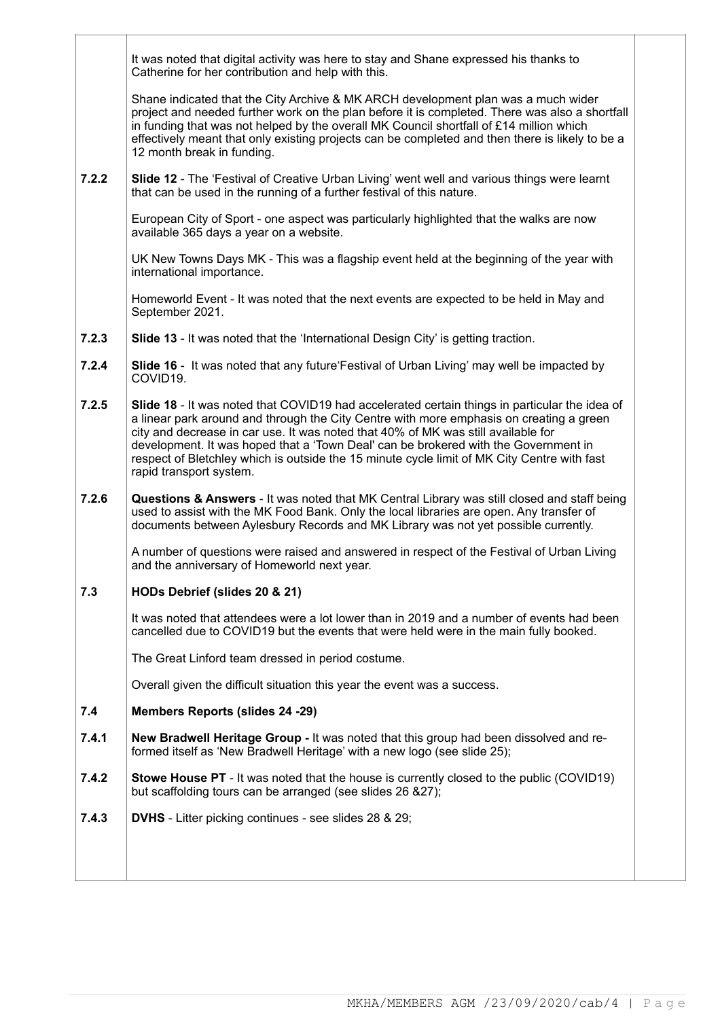It was noted that digital activity was here to stay and Shane expressed his thanks to Catherine for her contribution and help with this.

Shane indicated that the City Archive & MK ARCH development plan was a much wider project and needed further work on the plan before it is completed. There was also a shortfall in funding that was not helped by the overall MK Council shortfall of £14 million which effectively meant that only existing projects can be completed and then there is likely to be a 12 month break in funding.

**7.2.2 Slide 12** - The 'Festival of Creative Urban Living' went well and various things were learnt that can be used in the running of a further festival of this nature.

European City of Sport - one aspect was particularly highlighted that the walks are now available 365 days a year on a website.

UK New Towns Days MK - This was a flagship event held at the beginning of the year with international importance.

Homeworld Event - It was noted that the next events are expected to be held in May and September 2021.

- **7.2.3 Slide 13** - It was noted that the 'International Design City' is getting traction.
- **7.2.4 Slide 16** - It was noted that any future'Festival of Urban Living' may well be impacted by COVID19.
- **7.2.5 Slide 18** - It was noted that COVID19 had accelerated certain things in particular the idea of a linear park around and through the City Centre with more emphasis on creating a green city and decrease in car use. It was noted that 40% of MK was still available for development. It was hoped that a 'Town Deal' can be brokered with the Government in respect of Bletchley which is outside the 15 minute cycle limit of MK City Centre with fast rapid transport system.
- **7.2.6 Questions & Answers** - It was noted that MK Central Library was still closed and staff being used to assist with the MK Food Bank. Only the local libraries are open. Any transfer of documents between Aylesbury Records and MK Library was not yet possible currently.

A number of questions were raised and answered in respect of the Festival of Urban Living and the anniversary of Homeworld next year.

### **7.3 HODs Debrief (slides 20 & 21)**

It was noted that attendees were a lot lower than in 2019 and a number of events had been cancelled due to COVID19 but the events that were held were in the main fully booked.

The Great Linford team dressed in period costume.

Overall given the difficult situation this year the event was a success.

#### **7.4 Members Reports (slides 24 -29)**

- **7.4.1 New Bradwell Heritage Group -** It was noted that this group had been dissolved and reformed itself as 'New Bradwell Heritage' with a new logo (see slide 25);
- **7.4.2 Stowe House PT** - It was noted that the house is currently closed to the public (COVID19) but scaffolding tours can be arranged (see slides 26 &27);
- **7.4.3 DVHS** - Litter picking continues - see slides 28 & 29;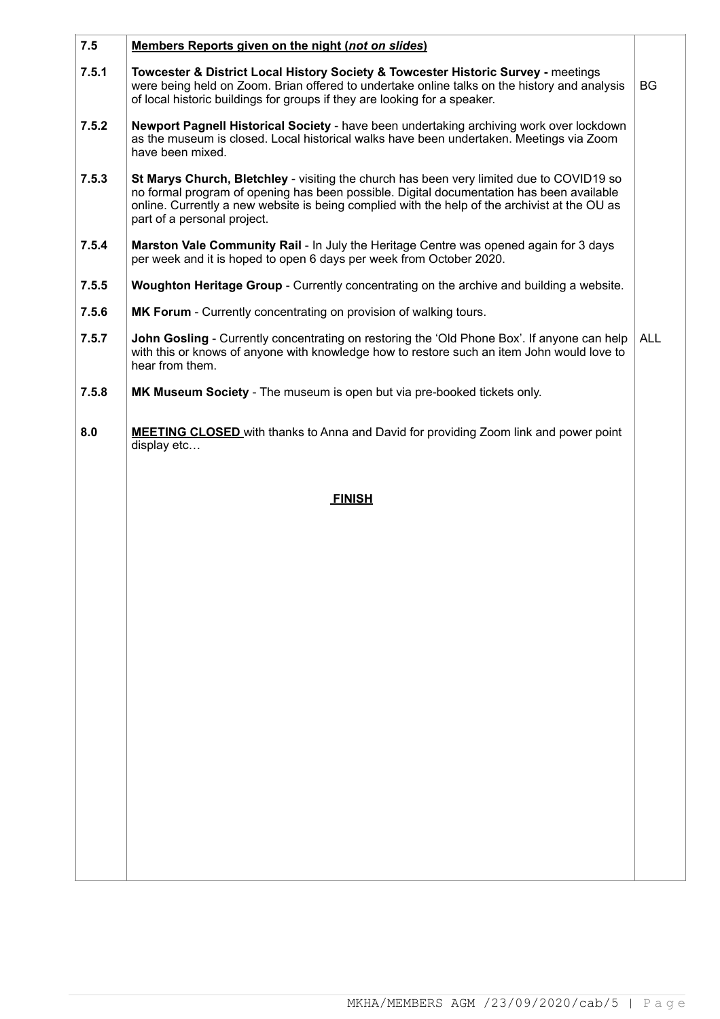| 7.5   | Members Reports given on the night (not on slides)                                                                                                                                                                                                                                                                   |            |
|-------|----------------------------------------------------------------------------------------------------------------------------------------------------------------------------------------------------------------------------------------------------------------------------------------------------------------------|------------|
| 7.5.1 | Towcester & District Local History Society & Towcester Historic Survey - meetings<br>were being held on Zoom. Brian offered to undertake online talks on the history and analysis<br>of local historic buildings for groups if they are looking for a speaker.                                                       | BG         |
| 7.5.2 | Newport Pagnell Historical Society - have been undertaking archiving work over lockdown<br>as the museum is closed. Local historical walks have been undertaken. Meetings via Zoom<br>have been mixed.                                                                                                               |            |
| 7.5.3 | St Marys Church, Bletchley - visiting the church has been very limited due to COVID19 so<br>no formal program of opening has been possible. Digital documentation has been available<br>online. Currently a new website is being complied with the help of the archivist at the OU as<br>part of a personal project. |            |
| 7.5.4 | Marston Vale Community Rail - In July the Heritage Centre was opened again for 3 days<br>per week and it is hoped to open 6 days per week from October 2020.                                                                                                                                                         |            |
| 7.5.5 | Woughton Heritage Group - Currently concentrating on the archive and building a website.                                                                                                                                                                                                                             |            |
| 7.5.6 | MK Forum - Currently concentrating on provision of walking tours.                                                                                                                                                                                                                                                    |            |
| 7.5.7 | John Gosling - Currently concentrating on restoring the 'Old Phone Box'. If anyone can help<br>with this or knows of anyone with knowledge how to restore such an item John would love to<br>hear from them.                                                                                                         | <b>ALL</b> |
| 7.5.8 | MK Museum Society - The museum is open but via pre-booked tickets only.                                                                                                                                                                                                                                              |            |
| 8.0   | <b>MEETING CLOSED</b> with thanks to Anna and David for providing Zoom link and power point<br>display etc                                                                                                                                                                                                           |            |
|       | <b>FINISH</b>                                                                                                                                                                                                                                                                                                        |            |
|       |                                                                                                                                                                                                                                                                                                                      |            |
|       |                                                                                                                                                                                                                                                                                                                      |            |
|       |                                                                                                                                                                                                                                                                                                                      |            |
|       |                                                                                                                                                                                                                                                                                                                      |            |
|       |                                                                                                                                                                                                                                                                                                                      |            |
|       |                                                                                                                                                                                                                                                                                                                      |            |
|       |                                                                                                                                                                                                                                                                                                                      |            |
|       |                                                                                                                                                                                                                                                                                                                      |            |
|       |                                                                                                                                                                                                                                                                                                                      |            |
|       |                                                                                                                                                                                                                                                                                                                      |            |
|       |                                                                                                                                                                                                                                                                                                                      |            |
|       |                                                                                                                                                                                                                                                                                                                      |            |
|       |                                                                                                                                                                                                                                                                                                                      |            |
|       |                                                                                                                                                                                                                                                                                                                      |            |